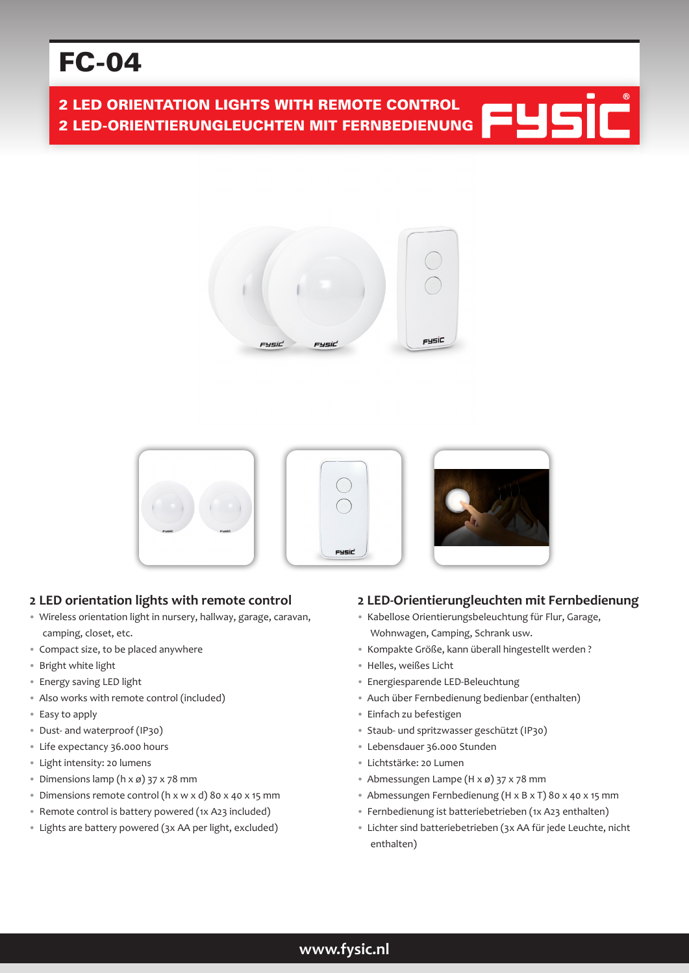# FC-04

2 LED ORIENTATION LIGHTS WITH REMOTE CONTROL 2 LED-ORIENTIERUNGLEUCHTEN MIT FERNBEDIENUNG











# **2 LED orientation lights with remote control**

- Wireless orientation light in nursery, hallway, garage, caravan, camping, closet, etc.
- Compact size, to be placed anywhere
- Bright white light
- Energy saving LED light
- Also works with remote control (included)
- Easy to apply
- Dust- and waterproof (IP30)
- Life expectancy 36.000 hours
- Light intensity: 20 lumens
- Dimensions lamp ( $h \times \emptyset$ ) 37  $\times$  78 mm
- Dimensions remote control (h x w x d) 80 x 40 x 15 mm
- Remote control is battery powered (1x A23 included)
- Lights are battery powered (3x AA per light, excluded)

# **2 LED-Orientierungleuchten mit Fernbedienung**

- Kabellose Orientierungsbeleuchtung für Flur, Garage, Wohnwagen, Camping, Schrank usw.
- Kompakte Größe, kann überall hingestellt werden ?
- Helles, weißes Licht
- Energiesparende LED-Beleuchtung
- Auch über Fernbedienung bedienbar (enthalten)
- Einfach zu befestigen
- Staub- und spritzwasser geschützt (IP30)
- Lebensdauer 36.000 Stunden
- Lichtstärke: 20 Lumen
- Abmessungen Lampe (H x ø) 37 x 78 mm
- Abmessungen Fernbedienung (H x B x T) 80 x 40 x 15 mm
- Fernbedienung ist batteriebetrieben (1x A23 enthalten)
- Lichter sind batteriebetrieben (3x AA für jede Leuchte, nicht enthalten)

# **www.fysic.nl**